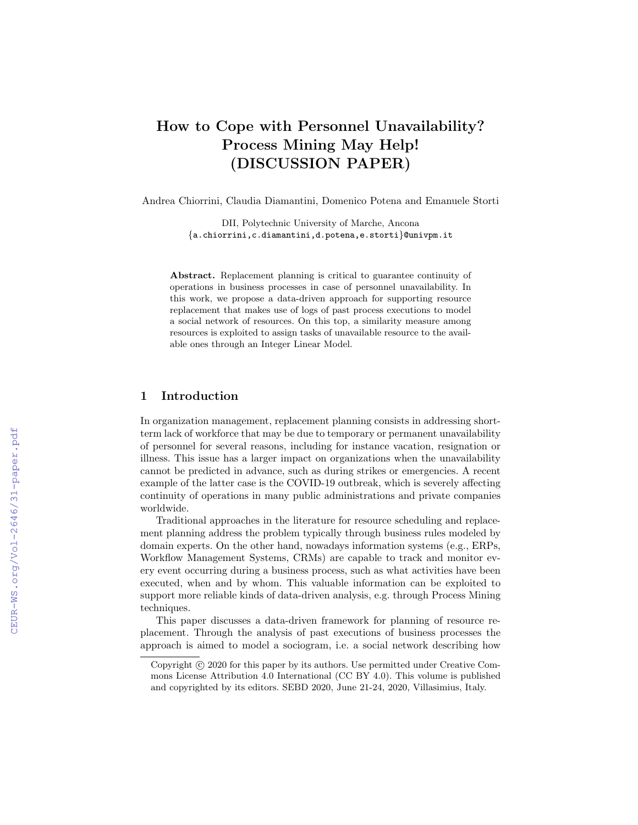# How to Cope with Personnel Unavailability? Process Mining May Help! (DISCUSSION PAPER)

Andrea Chiorrini, Claudia Diamantini, Domenico Potena and Emanuele Storti

DII, Polytechnic University of Marche, Ancona {a.chiorrini,c.diamantini,d.potena,e.storti}@univpm.it

Abstract. Replacement planning is critical to guarantee continuity of operations in business processes in case of personnel unavailability. In this work, we propose a data-driven approach for supporting resource replacement that makes use of logs of past process executions to model a social network of resources. On this top, a similarity measure among resources is exploited to assign tasks of unavailable resource to the available ones through an Integer Linear Model.

## 1 Introduction

In organization management, replacement planning consists in addressing shortterm lack of workforce that may be due to temporary or permanent unavailability of personnel for several reasons, including for instance vacation, resignation or illness. This issue has a larger impact on organizations when the unavailability cannot be predicted in advance, such as during strikes or emergencies. A recent example of the latter case is the COVID-19 outbreak, which is severely affecting continuity of operations in many public administrations and private companies worldwide.

Traditional approaches in the literature for resource scheduling and replacement planning address the problem typically through business rules modeled by domain experts. On the other hand, nowadays information systems (e.g., ERPs, Workflow Management Systems, CRMs) are capable to track and monitor every event occurring during a business process, such as what activities have been executed, when and by whom. This valuable information can be exploited to support more reliable kinds of data-driven analysis, e.g. through Process Mining techniques.

This paper discusses a data-driven framework for planning of resource replacement. Through the analysis of past executions of business processes the approach is aimed to model a sociogram, i.e. a social network describing how

Copyright  $\odot$  2020 for this paper by its authors. Use permitted under Creative Commons License Attribution 4.0 International (CC BY 4.0). This volume is published and copyrighted by its editors. SEBD 2020, June 21-24, 2020, Villasimius, Italy.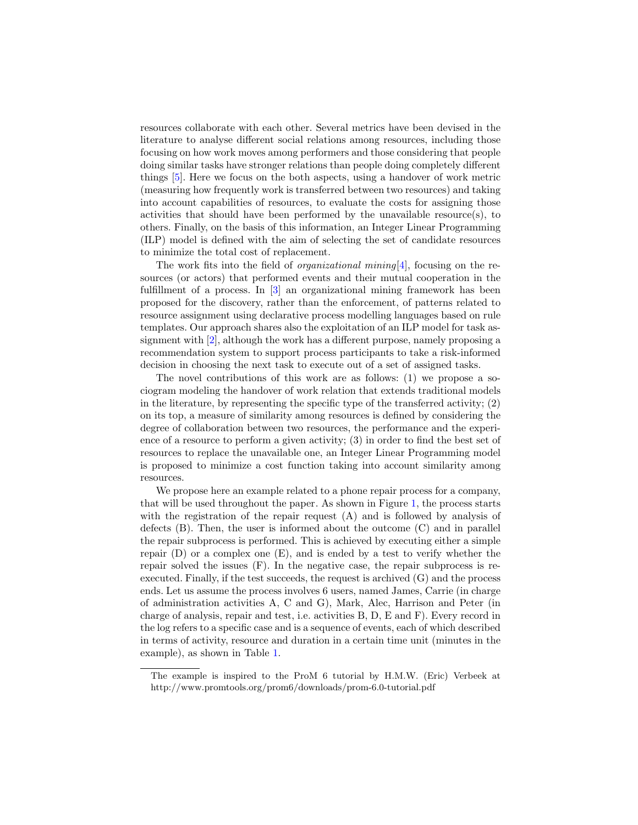resources collaborate with each other. Several metrics have been devised in the literature to analyse different social relations among resources, including those focusing on how work moves among performers and those considering that people doing similar tasks have stronger relations than people doing completely different things [\[5\]](#page-7-0). Here we focus on the both aspects, using a handover of work metric (measuring how frequently work is transferred between two resources) and taking into account capabilities of resources, to evaluate the costs for assigning those activities that should have been performed by the unavailable resource(s), to others. Finally, on the basis of this information, an Integer Linear Programming (ILP) model is defined with the aim of selecting the set of candidate resources to minimize the total cost of replacement.

The work fits into the field of *organizational mining*[\[4\]](#page-7-1), focusing on the resources (or actors) that performed events and their mutual cooperation in the fulfillment of a process. In [\[3\]](#page-7-2) an organizational mining framework has been proposed for the discovery, rather than the enforcement, of patterns related to resource assignment using declarative process modelling languages based on rule templates. Our approach shares also the exploitation of an ILP model for task assignment with [\[2\]](#page-7-3), although the work has a different purpose, namely proposing a recommendation system to support process participants to take a risk-informed decision in choosing the next task to execute out of a set of assigned tasks.

The novel contributions of this work are as follows: (1) we propose a sociogram modeling the handover of work relation that extends traditional models in the literature, by representing the specific type of the transferred activity;  $(2)$ on its top, a measure of similarity among resources is defined by considering the degree of collaboration between two resources, the performance and the experience of a resource to perform a given activity; (3) in order to find the best set of resources to replace the unavailable one, an Integer Linear Programming model is proposed to minimize a cost function taking into account similarity among resources.

We propose here an example related to a phone repair process for a company, that will be used throughout the pape[r.](#page-1-0) As shown in Figure [1,](#page-2-0) the process starts with the registration of the repair request (A) and is followed by analysis of defects (B). Then, the user is informed about the outcome (C) and in parallel the repair subprocess is performed. This is achieved by executing either a simple repair  $(D)$  or a complex one  $(E)$ , and is ended by a test to verify whether the repair solved the issues (F). In the negative case, the repair subprocess is reexecuted. Finally, if the test succeeds, the request is archived (G) and the process ends. Let us assume the process involves 6 users, named James, Carrie (in charge of administration activities A, C and G), Mark, Alec, Harrison and Peter (in charge of analysis, repair and test, i.e. activities B, D, E and F). Every record in the log refers to a specific case and is a sequence of events, each of which described in terms of activity, resource and duration in a certain time unit (minutes in the example), as shown in Table [1.](#page-2-1)

<span id="page-1-0"></span>The example is inspired to the ProM 6 tutorial by H.M.W. (Eric) Verbeek at http://www.promtools.org/prom6/downloads/prom-6.0-tutorial.pdf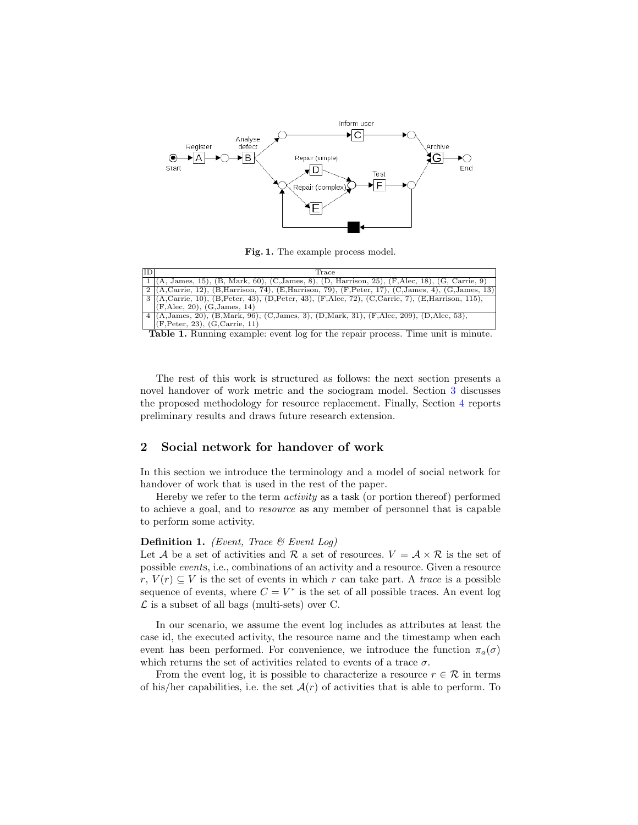

<span id="page-2-1"></span><span id="page-2-0"></span>Fig. 1. The example process model.

| ID | Trace                                                                                                          |
|----|----------------------------------------------------------------------------------------------------------------|
|    | $1 \mid (A, James, 15), (B, Mark, 60), (C, James, 8), (D, Harrison, 25), (F, Alex, 18), (G, Carrie, 9)$        |
|    | $2 (A, Carrie, 12), (B, Harrison, 74), (E, Harrison, 79), (F, Peter, 17), (C, James, 4), (G, James, 13) $      |
|    | $\left[3\right]$ (A,Carrie, 10), (B,Peter, 43), (D,Peter, 43), (F,Alec, 72), (C,Carrie, 7), (E,Harrison, 115), |
|    | (F,Alec, 20), (G, James, 14)                                                                                   |
|    | 4 (A, James, 20), (B, Mark, 96), (C, James, 3), (D, Mark, 31), (F, Alec, 209), (D, Alec, 53),                  |
|    | (F, Peter, 23), (G, Carrie, 11)                                                                                |

Table 1. Running example: event log for the repair process. Time unit is minute.

The rest of this work is structured as follows: the next section presents a novel handover of work metric and the sociogram model. Section [3](#page-5-0) discusses the proposed methodology for resource replacement. Finally, Section [4](#page-7-4) reports preliminary results and draws future research extension.

# <span id="page-2-2"></span>2 Social network for handover of work

In this section we introduce the terminology and a model of social network for handover of work that is used in the rest of the paper.

Hereby we refer to the term activity as a task (or portion thereof) performed to achieve a goal, and to resource as any member of personnel that is capable to perform some activity.

#### **Definition 1.** (Event, Trace  $\mathcal{B}$  Event Log)

Let A be a set of activities and R a set of resources.  $V = A \times R$  is the set of possible events, i.e., combinations of an activity and a resource. Given a resource  $r, V(r) \subseteq V$  is the set of events in which r can take part. A trace is a possible sequence of events, where  $C = V^*$  is the set of all possible traces. An event log  $\mathcal L$  is a subset of all bags (multi-sets) over C.

In our scenario, we assume the event log includes as attributes at least the case id, the executed activity, the resource name and the timestamp when each event has been performed. For convenience, we introduce the function  $\pi_a(\sigma)$ which returns the set of activities related to events of a trace  $\sigma$ .

From the event log, it is possible to characterize a resource  $r \in \mathcal{R}$  in terms of his/her capabilities, i.e. the set  $\mathcal{A}(r)$  of activities that is able to perform. To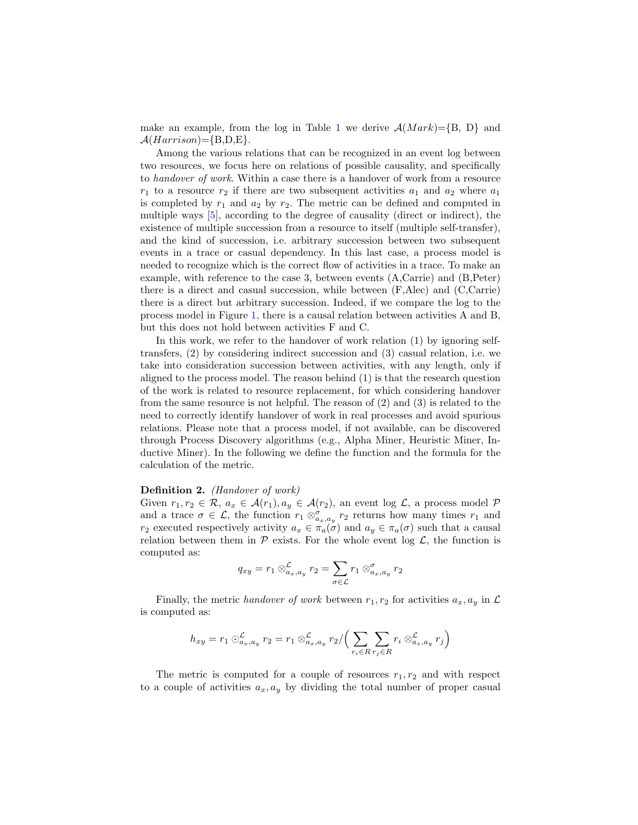make an example, from the log in Table [1](#page-2-1) we derive  $A(Mark)=\{B, D\}$  and  $\mathcal{A}(Harrison)=\{B,D,E\}.$ 

Among the various relations that can be recognized in an event log between two resources, we focus here on relations of possible causality, and specifically to handover of work. Within a case there is a handover of work from a resource  $r_1$  to a resource  $r_2$  if there are two subsequent activities  $a_1$  and  $a_2$  where  $a_1$ is completed by  $r_1$  and  $a_2$  by  $r_2$ . The metric can be defined and computed in multiple ways [\[5\]](#page-7-0), according to the degree of causality (direct or indirect), the existence of multiple succession from a resource to itself (multiple self-transfer), and the kind of succession, i.e. arbitrary succession between two subsequent events in a trace or casual dependency. In this last case, a process model is needed to recognize which is the correct flow of activities in a trace. To make an example, with reference to the case 3, between events (A,Carrie) and (B,Peter) there is a direct and casual succession, while between (F,Alec) and (C,Carrie) there is a direct but arbitrary succession. Indeed, if we compare the log to the process model in Figure [1,](#page-2-0) there is a causal relation between activities A and B, but this does not hold between activities F and C.

In this work, we refer to the handover of work relation (1) by ignoring selftransfers, (2) by considering indirect succession and (3) casual relation, i.e. we take into consideration succession between activities, with any length, only if aligned to the process model. The reason behind (1) is that the research question of the work is related to resource replacement, for which considering handover from the same resource is not helpful. The reason of (2) and (3) is related to the need to correctly identify handover of work in real processes and avoid spurious relations. Please note that a process model, if not available, can be discovered through Process Discovery algorithms (e.g., Alpha Miner, Heuristic Miner, Inductive Miner). In the following we define the function and the formula for the calculation of the metric.

#### Definition 2. (Handover of work)

Given  $r_1, r_2 \in \mathcal{R}, a_x \in \mathcal{A}(r_1), a_y \in \mathcal{A}(r_2)$ , an event log  $\mathcal{L}$ , a process model  $\mathcal{P}$ and a trace  $\sigma \in \mathcal{L}$ , the function  $r_1 \otimes_{a_x,a_y}^{\sigma} r_2$  returns how many times  $r_1$  and r<sub>2</sub> executed respectively activity  $a_x \in \pi_a(\sigma)$  and  $a_y \in \pi_a(\sigma)$  such that a causal relation between them in  $P$  exists. For the whole event log  $\mathcal{L}$ , the function is computed as:

$$
q_{xy} = r_1 \otimes_{a_x, a_y}^{\mathcal{L}} r_2 = \sum_{\sigma \in \mathcal{L}} r_1 \otimes_{a_x, a_y}^{\sigma} r_2
$$

Finally, the metric handover of work between  $r_1, r_2$  for activities  $a_x, a_y$  in  $\mathcal L$ is computed as:

$$
h_{xy} = r_1 \bigcirc_{a_x, a_y}^{\mathcal{L}} r_2 = r_1 \bigcirc_{a_x, a_y}^{\mathcal{L}} r_2 / \Big( \sum_{r_i \in R} \sum_{r_j \in R} r_i \bigcirc_{a_x, a_y}^{\mathcal{L}} r_j \Big)
$$

The metric is computed for a couple of resources  $r_1, r_2$  and with respect to a couple of activities  $a_x, a_y$  by dividing the total number of proper casual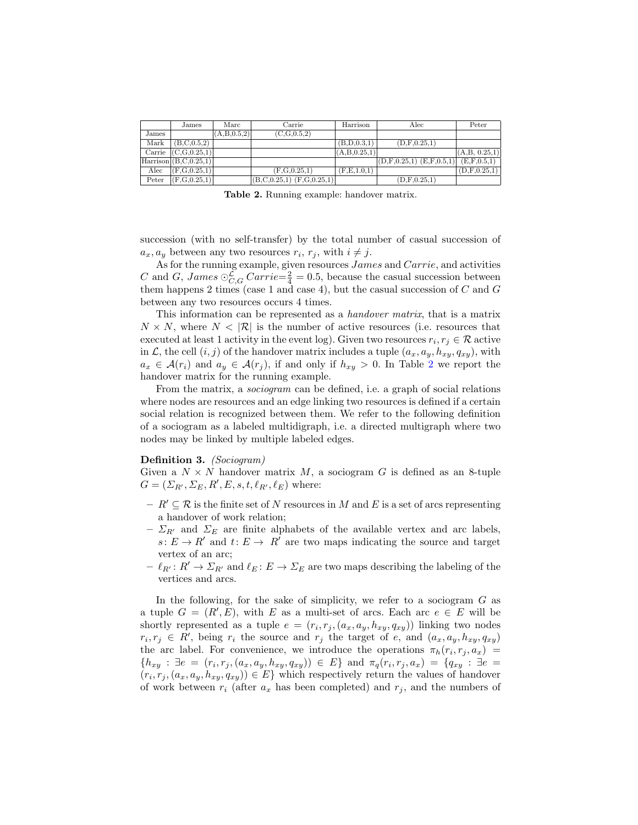|       | James                      | Marc           | Carrie                                         | Harrison        | Alec                         | Peter          |  |
|-------|----------------------------|----------------|------------------------------------------------|-----------------|------------------------------|----------------|--|
| James |                            | (A, B, 0.5, 2) | (C.G.0.5.2)                                    |                 |                              |                |  |
| Mark  | (B, C, 0.5, 2)             |                |                                                | (B, D, 0.3, 1)  | (D.F.0.25.1)                 |                |  |
|       | Carrie $(C,G,0.25,1)$      |                |                                                | (A, B, 0.25, 1) |                              | (A,B, 0.25, 1) |  |
|       | Harrison $(B, C, 0.25, 1)$ |                |                                                |                 | $(D,F,0.25,1)$ $(E,F,0.5,1)$ | (E.F.0.5,1)    |  |
| Alec  | (F.G.0.25.1)               |                | (F.G.0.25.1)                                   | (F,E,1.0,1)     |                              | (D.F.0.25.1)   |  |
| Peter | (F,G,0.25,1)               |                | $(E, C, 0.25, 1)$ $\overline{(F, G, 0.25, 1)}$ |                 | (D.F.0.25.1)                 |                |  |

<span id="page-4-0"></span>Table 2. Running example: handover matrix.

succession (with no self-transfer) by the total number of casual succession of  $a_x, a_y$  between any two resources  $r_i, r_j$ , with  $i \neq j$ .

As for the running example, given resources James and Carrie, and activities C and G, James  $\bigcirc_{C,G}^{\mathcal{L}}$  Carrie= $\frac{2}{4} = 0.5$ , because the casual succession between them happens 2 times (case 1 and case 4), but the casual succession of  $C$  and  $G$ between any two resources occurs 4 times.

This information can be represented as a handover matrix, that is a matrix  $N \times N$ , where  $N < |\mathcal{R}|$  is the number of active resources (i.e. resources that executed at least 1 activity in the event log). Given two resources  $r_i, r_j \in \mathcal{R}$  active in  $\mathcal{L}$ , the cell  $(i, j)$  of the handover matrix includes a tuple  $(a_x, a_y, h_{xy}, q_{xy})$ , with  $a_x \in \mathcal{A}(r_i)$  and  $a_y \in \mathcal{A}(r_j)$ , if and only if  $h_{xy} > 0$ . In Table [2](#page-4-0) we report the handover matrix for the running example.

From the matrix, a sociogram can be defined, i.e. a graph of social relations where nodes are resources and an edge linking two resources is defined if a certain social relation is recognized between them. We refer to the following definition of a sociogram as a labeled multidigraph, i.e. a directed multigraph where two nodes may be linked by multiple labeled edges.

#### Definition 3. (Sociogram)

Given a  $N \times N$  handover matrix M, a sociogram G is defined as an 8-tuple  $G = (\Sigma_{R'}, \Sigma_E, R', E, s, t, \ell_{R'}, \ell_E)$  where:

- $R' \subseteq \mathcal{R}$  is the finite set of N resources in M and E is a set of arcs representing a handover of work relation;
- $\Sigma_{R'}$  and  $\Sigma_E$  are finite alphabets of the available vertex and arc labels,  $s: E \to R'$  and  $t: E \to R'$  are two maps indicating the source and target vertex of an arc;
- $\ell_{R'} : R' \to \Sigma_{R'}$  and  $\ell_E : E \to \Sigma_E$  are two maps describing the labeling of the vertices and arcs.

In the following, for the sake of simplicity, we refer to a sociogram  $G$  as a tuple  $G = (R', E)$ , with E as a multi-set of arcs. Each arc  $e \in E$  will be shortly represented as a tuple  $e = (r_i, r_j, (a_x, a_y, h_{xy}, q_{xy}))$  linking two nodes  $r_i, r_j \in R'$ , being  $r_i$  the source and  $r_j$  the target of e, and  $(a_x, a_y, h_{xy}, q_{xy})$ the arc label. For convenience, we introduce the operations  $\pi_h(r_i, r_j, a_x)$  =  $\{h_{xy} : \exists e = (r_i, r_j, (a_x, a_y, h_{xy}, q_{xy})) \in E\}$  and  $\pi_q(r_i, r_j, a_x) = \{q_{xy} : \exists e = x, q_{xy}\}$  $(r_i, r_j, (a_x, a_y, h_{xy}, q_{xy})) \in E$  which respectively return the values of handover of work between  $r_i$  (after  $a_x$  has been completed) and  $r_j$ , and the numbers of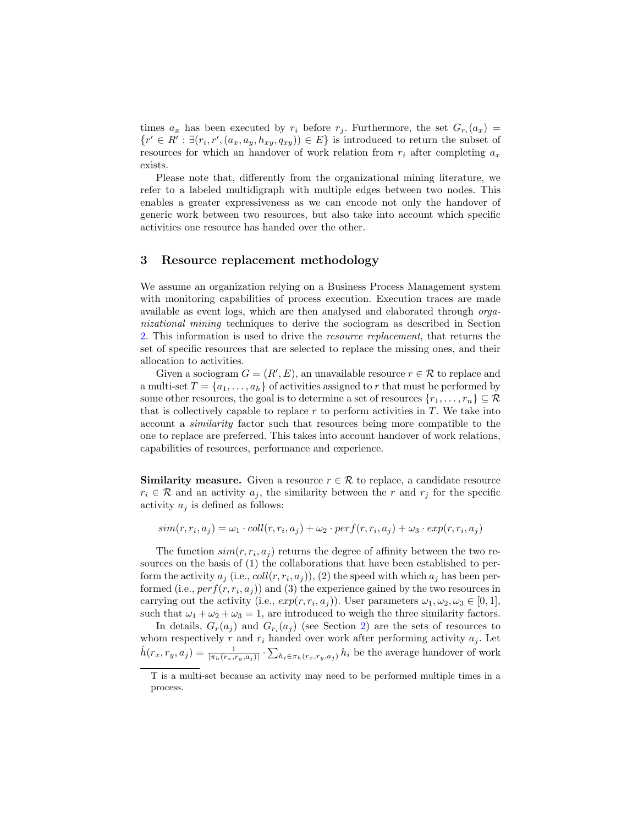times  $a_x$  has been executed by  $r_i$  before  $r_j$ . Furthermore, the set  $G_{r_i}(a_x) =$  $\{r' \in R' : \exists (r_i, r', (a_x, a_y, h_{xy}, q_{xy})) \in E\}$  is introduced to return the subset of resources for which an handover of work relation from  $r_i$  after completing  $a_x$ exists.

Please note that, differently from the organizational mining literature, we refer to a labeled multidigraph with multiple edges between two nodes. This enables a greater expressiveness as we can encode not only the handover of generic work between two resources, but also take into account which specific activities one resource has handed over the other.

## <span id="page-5-0"></span>3 Resource replacement methodology

We assume an organization relying on a Business Process Management system with monitoring capabilities of process execution. Execution traces are made available as event logs, which are then analysed and elaborated through organizational mining techniques to derive the sociogram as described in Section [2.](#page-2-2) This information is used to drive the resource replacement, that returns the set of specific resources that are selected to replace the missing ones, and their allocation to activities.

Given a sociogram  $G = (R', E)$ , an unavailable resource  $r \in \mathcal{R}$  to replace and a multi-set  $T = \{a_1, \ldots, a_h\}$  $T = \{a_1, \ldots, a_h\}$  of activities assigned to r that must be performed by some other resources, the goal is to determine a set of resources  $\{r_1, \ldots, r_n\} \subseteq \mathcal{R}$ that is collectively capable to replace  $r$  to perform activities in  $T$ . We take into account a similarity factor such that resources being more compatible to the one to replace are preferred. This takes into account handover of work relations, capabilities of resources, performance and experience.

**Similarity measure.** Given a resource  $r \in \mathcal{R}$  to replace, a candidate resource  $r_i \in \mathcal{R}$  and an activity  $a_j$ , the similarity between the r and  $r_j$  for the specific activity  $a_i$  is defined as follows:

 $sim(r, r_i, a_j) = \omega_1 \cdot coll(r, r_i, a_j) + \omega_2 \cdot perf(r, r_i, a_j) + \omega_3 \cdot exp(r, r_i, a_j)$ 

The function  $sim(r, r_i, a_j)$  returns the degree of affinity between the two resources on the basis of (1) the collaborations that have been established to perform the activity  $a_j$  (i.e.,  $coll(r,r_i,a_j)$ ), (2) the speed with which  $a_j$  has been performed (i.e.,  $perf(r, r_i, a_j)$ ) and (3) the experience gained by the two resources in carrying out the activity (i.e.,  $exp(r, r_i, a_j)$ ). User parameters  $\omega_1, \omega_2, \omega_3 \in [0, 1]$ , such that  $\omega_1 + \omega_2 + \omega_3 = 1$ , are introduced to weigh the three similarity factors.

In details,  $G_r(a_j)$  and  $G_{r_i}(a_j)$  (see Section [2\)](#page-2-2) are the sets of resources to whom respectively r and  $r_i$  handed over work after performing activity  $a_j$ . Let  $\hat{h}(r_x,r_y,a_j) = \frac{1}{|\pi_h(r_x,r_y,a_j)|} \cdot \sum_{h_i \in \pi_h(r_x,r_y,a_j)} h_i$  be the average handover of work

<span id="page-5-1"></span>T is a multi-set because an activity may need to be performed multiple times in a process.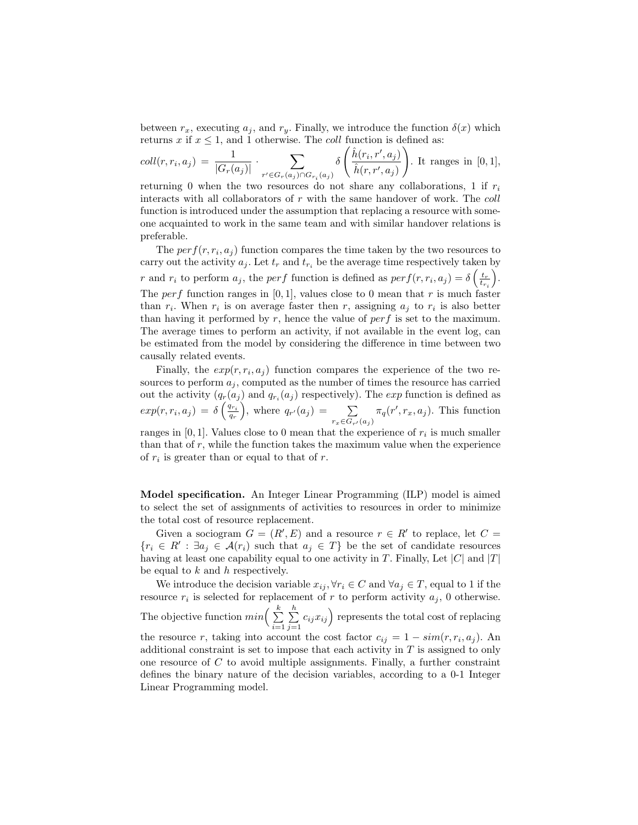between  $r_x$ , executing  $a_j$ , and  $r_y$ . Finally, we introduce the function  $\delta(x)$  which returns x if  $x \leq 1$ , and 1 otherwise. The *coll* function is defined as:

$$
coll(r,r_i,a_j) = \frac{1}{|G_r(a_j)|} \cdot \sum_{r' \in G_r(a_j) \cap G_{r_i}(a_j)} \delta\left(\frac{\hat{h}(r_i,r',a_j)}{\hat{h}(r,r',a_j)}\right).
$$
 It ranges in [0,1],

returning 0 when the two resources do not share any collaborations, 1 if  $r_i$ interacts with all collaborators of r with the same handover of work. The coll function is introduced under the assumption that replacing a resource with someone acquainted to work in the same team and with similar handover relations is preferable.

The  $perf(r, r_i, a_j)$  function compares the time taken by the two resources to carry out the activity  $a_j$ . Let  $t_r$  and  $t_{r_i}$  be the average time respectively taken by r and  $r_i$  to perform  $a_j$ , the perf function is defined as  $perf(r, r_i, a_j) = \delta \left( \frac{t_r}{t_{r_i}} \right)$  . The perf function ranges in  $[0, 1]$ , values close to 0 mean that r is much faster than  $r_i$ . When  $r_i$  is on average faster then r, assigning  $a_j$  to  $r_i$  is also better than having it performed by  $r$ , hence the value of  $perf$  is set to the maximum. The average times to perform an activity, if not available in the event log, can be estimated from the model by considering the difference in time between two causally related events.

Finally, the  $exp(r, r_i, a_j)$  function compares the experience of the two resources to perform  $a_j$ , computed as the number of times the resource has carried out the activity  $(q_r(a_j)$  and  $q_{r_i}(a_j)$  respectively). The *exp* function is defined as  $exp(r, r_i, a_j) = \delta\left(\frac{q_{r_i}}{q_r}\right)$ , where  $q_{r'}(a_j) = \sum_{r \in \mathbb{Z}}$  $r_x {\in} G_{r'}(a_j)$  $\pi_q(r', r_x, a_j)$ . This function ranges in  $[0, 1]$ . Values close to 0 mean that the experience of  $r_i$  is much smaller than that of  $r$ , while the function takes the maximum value when the experience of  $r_i$  is greater than or equal to that of r.

Model specification. An Integer Linear Programming (ILP) model is aimed to select the set of assignments of activities to resources in order to minimize the total cost of resource replacement.

Given a sociogram  $G = (R', E)$  and a resource  $r \in R'$  to replace, let  $C =$  ${r_i \in R' : \exists a_j \in \mathcal{A}(r_i) \text{ such that } a_j \in T}$  be the set of candidate resources having at least one capability equal to one activity in T. Finally, Let  $|C|$  and  $|T|$ be equal to  $k$  and  $h$  respectively.

We introduce the decision variable  $x_{ij}$ ,  $\forall r_i \in C$  and  $\forall a_j \in T$ , equal to 1 if the resource  $r_i$  is selected for replacement of r to perform activity  $a_j$ , 0 otherwise. The objective function  $min\left(\frac{k}{\sum_{i=1}^{k}$  $i=1$  $\sum_{i=1}^{h}$  $\sum_{j=1}^{n} c_{ij} x_{ij}$  represents the total cost of replacing the resource r, taking into account the cost factor  $c_{ij} = 1 - sim(r, r_i, a_j)$ . An additional constraint is set to impose that each activity in  $T$  is assigned to only one resource of C to avoid multiple assignments. Finally, a further constraint defines the binary nature of the decision variables, according to a 0-1 Integer Linear Programming model.